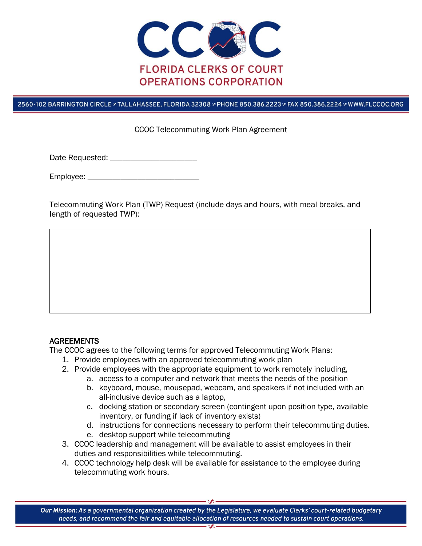

## 2560-102 BARRINGTON CIRCLE & TALLAHASSEE, FLORIDA 32308 & PHONE 850.386.2223 & FAX 850.386.2224 & WWW.FLCCOC.ORG

## CCOC Telecommuting Work Plan Agreement

Date Requested:  $\Box$ 

Employee: \_\_\_\_\_\_\_\_\_\_\_\_\_\_\_\_\_\_\_\_\_\_\_\_\_\_\_

Telecommuting Work Plan (TWP) Request (include days and hours, with meal breaks, and length of requested TWP):

## AGREEMENTS

The CCOC agrees to the following terms for approved Telecommuting Work Plans:

- 1. Provide employees with an approved telecommuting work plan
- 2. Provide employees with the appropriate equipment to work remotely including,
	- a. access to a computer and network that meets the needs of the position
		- b. keyboard, mouse, mousepad, webcam, and speakers if not included with an all-inclusive device such as a laptop,
		- c. docking station or secondary screen (contingent upon position type, available inventory, or funding if lack of inventory exists)
		- d. instructions for connections necessary to perform their telecommuting duties.
		- e. desktop support while telecommuting
- 3. CCOC leadership and management will be available to assist employees in their duties and responsibilities while telecommuting.
- 4. CCOC technology help desk will be available for assistance to the employee during telecommuting work hours.

Our Mission: As a governmental organization created by the Legislature, we evaluate Clerks' court-related budgetary needs, and recommend the fair and equitable allocation of resources needed to sustain court operations.